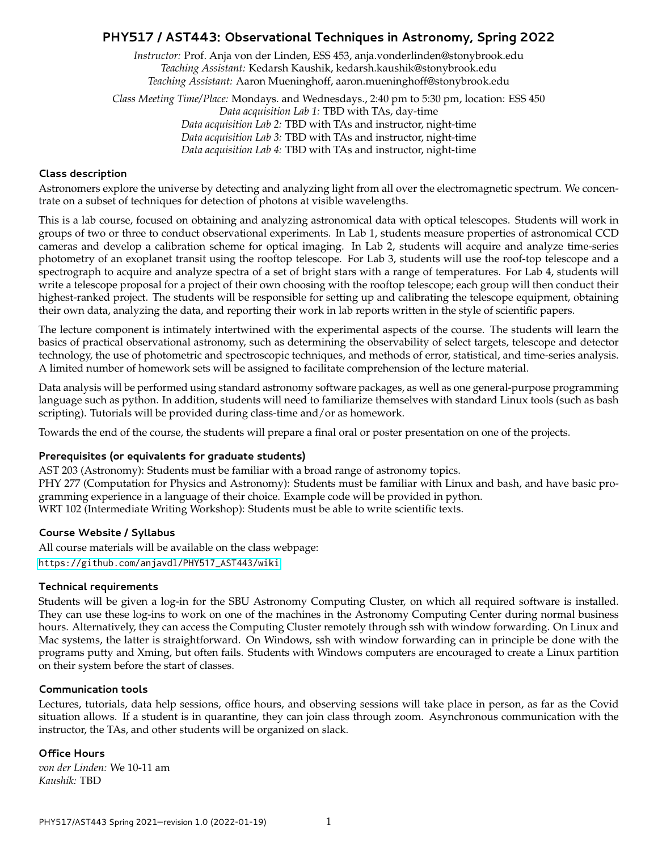# **PHY517 / AST443: Observational Techniques in Astronomy, Spring 2022**

*Instructor:* Prof. Anja von der Linden, ESS 453, anja.vonderlinden@stonybrook.edu *Teaching Assistant:* Kedarsh Kaushik, kedarsh.kaushik@stonybrook.edu *Teaching Assistant:* Aaron Mueninghoff, aaron.mueninghoff@stonybrook.edu

*Class Meeting Time/Place:* Mondays. and Wednesdays., 2:40 pm to 5:30 pm, location: ESS 450 *Data acquisition Lab 1:* TBD with TAs, day-time *Data acquisition Lab 2:* TBD with TAs and instructor, night-time *Data acquisition Lab 3:* TBD with TAs and instructor, night-time *Data acquisition Lab 4:* TBD with TAs and instructor, night-time

#### **Class description**

Astronomers explore the universe by detecting and analyzing light from all over the electromagnetic spectrum. We concentrate on a subset of techniques for detection of photons at visible wavelengths.

This is a lab course, focused on obtaining and analyzing astronomical data with optical telescopes. Students will work in groups of two or three to conduct observational experiments. In Lab 1, students measure properties of astronomical CCD cameras and develop a calibration scheme for optical imaging. In Lab 2, students will acquire and analyze time-series photometry of an exoplanet transit using the rooftop telescope. For Lab 3, students will use the roof-top telescope and a spectrograph to acquire and analyze spectra of a set of bright stars with a range of temperatures. For Lab 4, students will write a telescope proposal for a project of their own choosing with the rooftop telescope; each group will then conduct their highest-ranked project. The students will be responsible for setting up and calibrating the telescope equipment, obtaining their own data, analyzing the data, and reporting their work in lab reports written in the style of scientific papers.

The lecture component is intimately intertwined with the experimental aspects of the course. The students will learn the basics of practical observational astronomy, such as determining the observability of select targets, telescope and detector technology, the use of photometric and spectroscopic techniques, and methods of error, statistical, and time-series analysis. A limited number of homework sets will be assigned to facilitate comprehension of the lecture material.

Data analysis will be performed using standard astronomy software packages, as well as one general-purpose programming language such as python. In addition, students will need to familiarize themselves with standard Linux tools (such as bash scripting). Tutorials will be provided during class-time and/or as homework.

Towards the end of the course, the students will prepare a final oral or poster presentation on one of the projects.

#### **Prerequisites (or equivalents for graduate students)**

AST 203 (Astronomy): Students must be familiar with a broad range of astronomy topics. PHY 277 (Computation for Physics and Astronomy): Students must be familiar with Linux and bash, and have basic programming experience in a language of their choice. Example code will be provided in python. WRT 102 (Intermediate Writing Workshop): Students must be able to write scientific texts.

### **Course Website / Syllabus**

All course materials will be available on the class webpage: [https://github.com/anjavdl/PHY517\\_AST443/wiki](https://github.com/anjavdl/PHY517_AST443/wiki)

#### **Technical requirements**

Students will be given a log-in for the SBU Astronomy Computing Cluster, on which all required software is installed. They can use these log-ins to work on one of the machines in the Astronomy Computing Center during normal business hours. Alternatively, they can access the Computing Cluster remotely through ssh with window forwarding. On Linux and Mac systems, the latter is straightforward. On Windows, ssh with window forwarding can in principle be done with the programs putty and Xming, but often fails. Students with Windows computers are encouraged to create a Linux partition on their system before the start of classes.

#### **Communication tools**

Lectures, tutorials, data help sessions, office hours, and observing sessions will take place in person, as far as the Covid situation allows. If a student is in quarantine, they can join class through zoom. Asynchronous communication with the instructor, the TAs, and other students will be organized on slack.

#### **Office Hours**

*von der Linden:* We 10-11 am *Kaushik:* TBD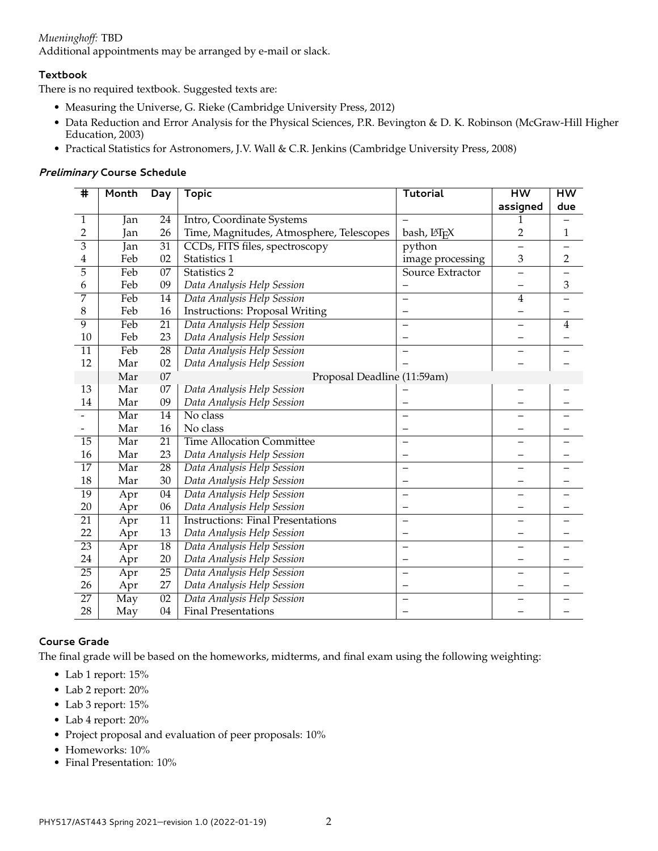# *Mueninghoff:* TBD

Additional appointments may be arranged by e-mail or slack.

## **Textbook**

There is no required textbook. Suggested texts are:

- Measuring the Universe, G. Rieke (Cambridge University Press, 2012)
- Data Reduction and Error Analysis for the Physical Sciences, P.R. Bevington & D. K. Robinson (McGraw-Hill Higher Education, 2003)
- Practical Statistics for Astronomers, J.V. Wall & C.R. Jenkins (Cambridge University Press, 2008)

### **Preliminary Course Schedule**

| $\overline{\textbf{H}}$ | Month | Day             | <b>Topic</b>                             | <b>Tutorial</b>          | <b>HW</b>                | <b>HW</b>      |
|-------------------------|-------|-----------------|------------------------------------------|--------------------------|--------------------------|----------------|
|                         |       |                 |                                          |                          | assigned                 | due            |
| 1                       | Jan   | 24              | Intro, Coordinate Systems                |                          |                          |                |
| $\overline{2}$          | Jan   | 26              | Time, Magnitudes, Atmosphere, Telescopes | bash, LATFX              | $\overline{2}$           | 1              |
| $\overline{\mathbf{3}}$ | Jan   | 31              | CCDs, FITS files, spectroscopy           | python                   | $\overline{\phantom{0}}$ |                |
| 4                       | Feb   | 02              | Statistics 1                             | image processing         | 3                        | $\overline{2}$ |
| 5                       | Feb   | $0\overline{7}$ | Statistics 2                             | Source Extractor         |                          |                |
| 6                       | Feb   | 09              | Data Analysis Help Session               |                          |                          | 3              |
| 7                       | Feb   | 14              | Data Analysis Help Session               |                          | $\overline{4}$           |                |
| 8                       | Feb   | 16              | <b>Instructions: Proposal Writing</b>    | $\qquad \qquad -$        |                          |                |
| $\overline{9}$          | Feb   | $\overline{21}$ | Data Analysis Help Session               |                          |                          | 4              |
| 10                      | Feb   | 23              | Data Analysis Help Session               |                          |                          |                |
| $\overline{11}$         | Feb   | $\overline{28}$ | Data Analysis Help Session               |                          | $\overline{\phantom{0}}$ |                |
| 12                      | Mar   | 02              | Data Analysis Help Session               |                          |                          |                |
|                         | Mar   | $\overline{07}$ | Proposal Deadline (11:59am)              |                          |                          |                |
| 13                      | Mar   | 07              | Data Analysis Help Session               |                          |                          |                |
| 14                      | Mar   | 09              | Data Analysis Help Session               |                          |                          |                |
|                         | Mar   | $\overline{14}$ | No class                                 |                          |                          |                |
|                         | Mar   | 16              | No class                                 |                          |                          |                |
| $\overline{15}$         | Mar   | 21              | <b>Time Allocation Committee</b>         |                          | —                        |                |
| 16                      | Mar   | 23              | Data Analysis Help Session               | $\overline{\phantom{0}}$ |                          |                |
| $\overline{17}$         | Mar   | $\overline{28}$ | Data Analysis Help Session               |                          |                          |                |
| 18                      | Mar   | 30              | Data Analysis Help Session               |                          |                          |                |
| $\overline{19}$         | Apr   | $\overline{04}$ | Data Analysis Help Session               |                          |                          |                |
| 20                      | Apr   | 06              | Data Analysis Help Session               | $\qquad \qquad -$        |                          |                |
| $\overline{21}$         | Apr   | 11              | <b>Instructions: Final Presentations</b> | $\overline{\phantom{0}}$ |                          |                |
| 22                      | Apr   | 13              | Data Analysis Help Session               |                          |                          |                |
| 23                      | Apr   | 18              | Data Analysis Help Session               |                          |                          |                |
| 24                      | Apr   | 20              | Data Analysis Help Session               |                          |                          |                |
| $\overline{25}$         | Apr   | $\overline{25}$ | Data Analysis Help Session               | $\overline{\phantom{0}}$ |                          |                |
| 26                      | Apr   | 27              | Data Analysis Help Session               |                          |                          |                |
| $\overline{27}$         | May   | $\overline{02}$ | Data Analysis Help Session               |                          |                          |                |
| 28                      | May   | 04              | <b>Final Presentations</b>               |                          |                          |                |

# **Course Grade**

The final grade will be based on the homeworks, midterms, and final exam using the following weighting:

- Lab 1 report: 15%
- Lab 2 report: 20%
- Lab 3 report: 15%
- Lab 4 report: 20%
- Project proposal and evaluation of peer proposals: 10%
- Homeworks: 10%
- Final Presentation: 10%